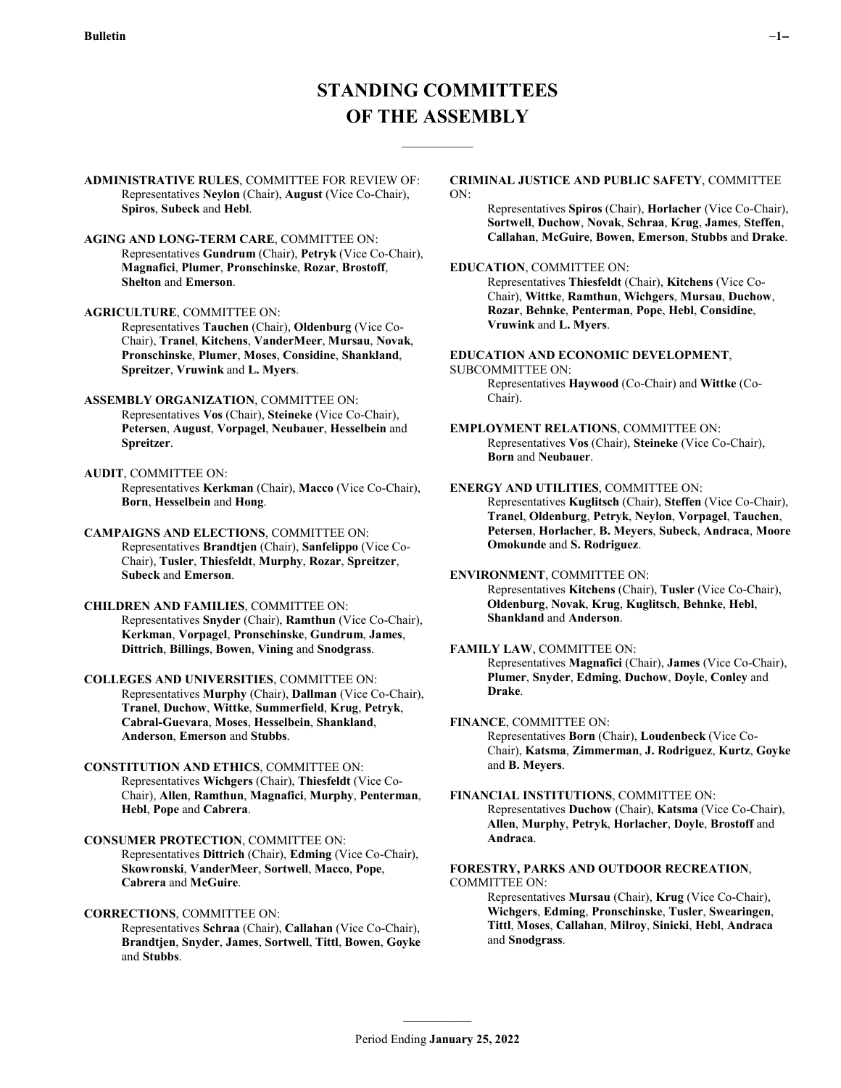$\mathcal{L}_\text{max}$ 

**ADMINISTRATIVE RULES**, COMMITTEE FOR REVIEW OF: Representatives **Neylon** (Chair), **August** (Vice Co-Chair), **Spiros**, **Subeck** and **Hebl**.

**AGING AND LONG-TERM CARE**, COMMITTEE ON: Representatives **Gundrum** (Chair), **Petryk** (Vice Co-Chair), **Magnafici**, **Plumer**, **Pronschinske**, **Rozar**, **Brostoff**, **Shelton** and **Emerson**.

**AGRICULTURE**, COMMITTEE ON:

Representatives **Tauchen** (Chair), **Oldenburg** (Vice Co-Chair), **Tranel**, **Kitchens**, **VanderMeer**, **Mursau**, **Novak**, **Pronschinske**, **Plumer**, **Moses**, **Considine**, **Shankland**, **Spreitzer**, **Vruwink** and **L. Myers**.

- **ASSEMBLY ORGANIZATION**, COMMITTEE ON: Representatives **Vos** (Chair), **Steineke** (Vice Co-Chair), **Petersen**, **August**, **Vorpagel**, **Neubauer**, **Hesselbein** and **Spreitzer**.
- **AUDIT**, COMMITTEE ON: Representatives **Kerkman** (Chair), **Macco** (Vice Co-Chair), **Born**, **Hesselbein** and **Hong**.

**CAMPAIGNS AND ELECTIONS**, COMMITTEE ON: Representatives **Brandtjen** (Chair), **Sanfelippo** (Vice Co-Chair), **Tusler**, **Thiesfeldt**, **Murphy**, **Rozar**, **Spreitzer**, **Subeck** and **Emerson**.

**CHILDREN AND FAMILIES**, COMMITTEE ON: Representatives **Snyder** (Chair), **Ramthun** (Vice Co-Chair), **Kerkman**, **Vorpagel**, **Pronschinske**, **Gundrum**, **James**, **Dittrich**, **Billings**, **Bowen**, **Vining** and **Snodgrass**.

**COLLEGES AND UNIVERSITIES**, COMMITTEE ON: Representatives **Murphy** (Chair), **Dallman** (Vice Co-Chair), **Tranel**, **Duchow**, **Wittke**, **Summerfield**, **Krug**, **Petryk**, **Cabral-Guevara**, **Moses**, **Hesselbein**, **Shankland**, **Anderson**, **Emerson** and **Stubbs**.

**CONSTITUTION AND ETHICS**, COMMITTEE ON: Representatives **Wichgers** (Chair), **Thiesfeldt** (Vice Co-Chair), **Allen**, **Ramthun**, **Magnafici**, **Murphy**, **Penterman**, **Hebl**, **Pope** and **Cabrera**.

**CONSUMER PROTECTION**, COMMITTEE ON: Representatives **Dittrich** (Chair), **Edming** (Vice Co-Chair), **Skowronski**, **VanderMeer**, **Sortwell**, **Macco**, **Pope**, **Cabrera** and **McGuire**.

**CORRECTIONS**, COMMITTEE ON: Representatives **Schraa** (Chair), **Callahan** (Vice Co-Chair), **Brandtjen**, **Snyder**, **James**, **Sortwell**, **Tittl**, **Bowen**, **Goyke** and **Stubbs**.

#### **CRIMINAL JUSTICE AND PUBLIC SAFETY**, COMMITTEE ON:

Representatives **Spiros** (Chair), **Horlacher** (Vice Co-Chair), **Sortwell**, **Duchow**, **Novak**, **Schraa**, **Krug**, **James**, **Steffen**, **Callahan**, **McGuire**, **Bowen**, **Emerson**, **Stubbs** and **Drake**.

## **EDUCATION**, COMMITTEE ON:

Representatives **Thiesfeldt** (Chair), **Kitchens** (Vice Co-Chair), **Wittke**, **Ramthun**, **Wichgers**, **Mursau**, **Duchow**, **Rozar**, **Behnke**, **Penterman**, **Pope**, **Hebl**, **Considine**, **Vruwink** and **L. Myers**.

**EDUCATION AND ECONOMIC DEVELOPMENT**,

## SUBCOMMITTEE ON:

Representatives **Haywood** (Co-Chair) and **Wittke** (Co-Chair).

**EMPLOYMENT RELATIONS**, COMMITTEE ON: Representatives **Vos** (Chair), **Steineke** (Vice Co-Chair), **Born** and **Neubauer**.

## **ENERGY AND UTILITIES**, COMMITTEE ON:

Representatives **Kuglitsch** (Chair), **Steffen** (Vice Co-Chair), **Tranel**, **Oldenburg**, **Petryk**, **Neylon**, **Vorpagel**, **Tauchen**, **Petersen**, **Horlacher**, **B. Meyers**, **Subeck**, **Andraca**, **Moore Omokunde** and **S. Rodriguez**.

### **ENVIRONMENT**, COMMITTEE ON:

Representatives **Kitchens** (Chair), **Tusler** (Vice Co-Chair), **Oldenburg**, **Novak**, **Krug**, **Kuglitsch**, **Behnke**, **Hebl**, **Shankland** and **Anderson**.

# **FAMILY LAW**, COMMITTEE ON:

Representatives **Magnafici** (Chair), **James** (Vice Co-Chair), **Plumer**, **Snyder**, **Edming**, **Duchow**, **Doyle**, **Conley** and **Drake**.

#### **FINANCE**, COMMITTEE ON:

Representatives **Born** (Chair), **Loudenbeck** (Vice Co-Chair), **Katsma**, **Zimmerman**, **J. Rodriguez**, **Kurtz**, **Goyke** and **B. Meyers**.

**FINANCIAL INSTITUTIONS**, COMMITTEE ON: Representatives **Duchow** (Chair), **Katsma** (Vice Co-Chair), **Allen**, **Murphy**, **Petryk**, **Horlacher**, **Doyle**, **Brostoff** and **Andraca**.

# **FORESTRY, PARKS AND OUTDOOR RECREATION**, COMMITTEE ON:

Representatives **Mursau** (Chair), **Krug** (Vice Co-Chair), **Wichgers**, **Edming**, **Pronschinske**, **Tusler**, **Swearingen**, **Tittl**, **Moses**, **Callahan**, **Milroy**, **Sinicki**, **Hebl**, **Andraca** and **Snodgrass**.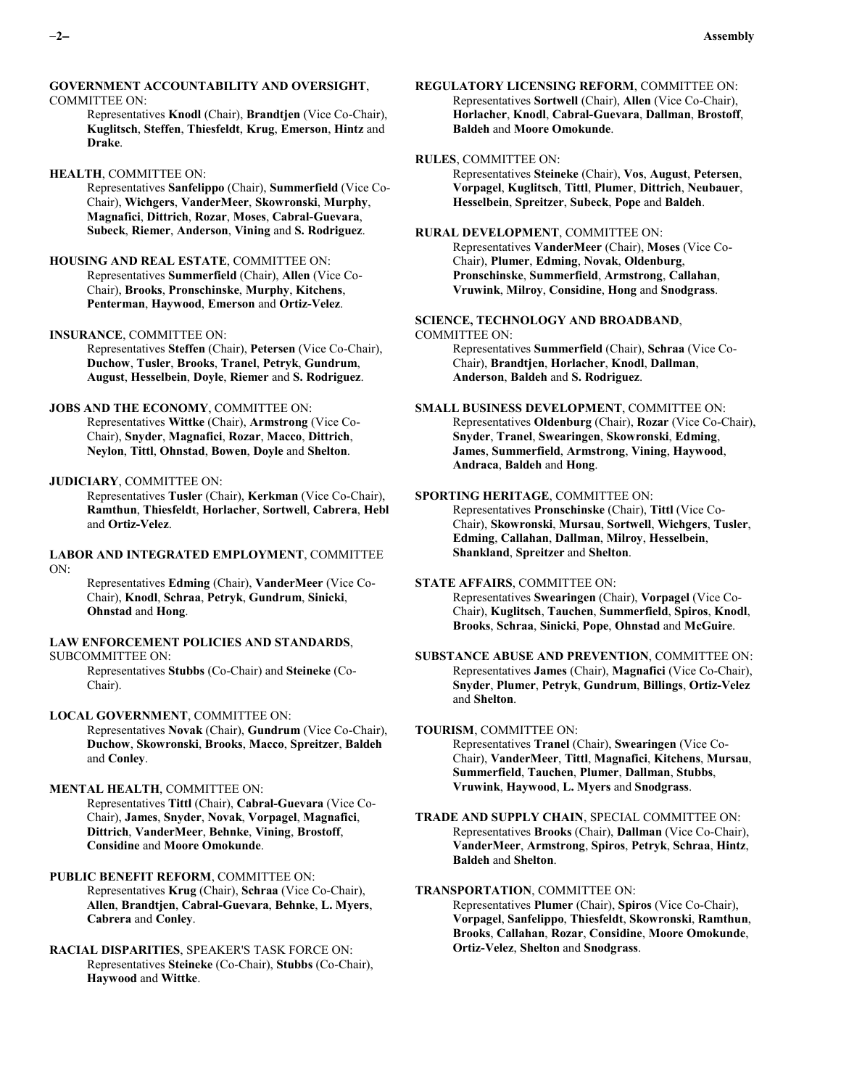#### **GOVERNMENT ACCOUNTABILITY AND OVERSIGHT**, COMMITTEE ON:

Representatives **Knodl** (Chair), **Brandtjen** (Vice Co-Chair), **Kuglitsch**, **Steffen**, **Thiesfeldt**, **Krug**, **Emerson**, **Hintz** and **Drake**.

#### **HEALTH**, COMMITTEE ON:

Representatives **Sanfelippo** (Chair), **Summerfield** (Vice Co-Chair), **Wichgers**, **VanderMeer**, **Skowronski**, **Murphy**, **Magnafici**, **Dittrich**, **Rozar**, **Moses**, **Cabral-Guevara**, **Subeck**, **Riemer**, **Anderson**, **Vining** and **S. Rodriguez**.

### **HOUSING AND REAL ESTATE**, COMMITTEE ON:

Representatives **Summerfield** (Chair), **Allen** (Vice Co-Chair), **Brooks**, **Pronschinske**, **Murphy**, **Kitchens**, **Penterman**, **Haywood**, **Emerson** and **Ortiz-Velez**.

# **INSURANCE**, COMMITTEE ON:

Representatives **Steffen** (Chair), **Petersen** (Vice Co-Chair), **Duchow**, **Tusler**, **Brooks**, **Tranel**, **Petryk**, **Gundrum**, **August**, **Hesselbein**, **Doyle**, **Riemer** and **S. Rodriguez**.

## **JOBS AND THE ECONOMY**, COMMITTEE ON:

Representatives **Wittke** (Chair), **Armstrong** (Vice Co-Chair), **Snyder**, **Magnafici**, **Rozar**, **Macco**, **Dittrich**, **Neylon**, **Tittl**, **Ohnstad**, **Bowen**, **Doyle** and **Shelton**.

## **JUDICIARY**, COMMITTEE ON:

Representatives **Tusler** (Chair), **Kerkman** (Vice Co-Chair), **Ramthun**, **Thiesfeldt**, **Horlacher**, **Sortwell**, **Cabrera**, **Hebl** and **Ortiz-Velez**.

### **LABOR AND INTEGRATED EMPLOYMENT**, COMMITTEE ON:

Representatives **Edming** (Chair), **VanderMeer** (Vice Co-Chair), **Knodl**, **Schraa**, **Petryk**, **Gundrum**, **Sinicki**, **Ohnstad** and **Hong**.

### **LAW ENFORCEMENT POLICIES AND STANDARDS**, SUBCOMMITTEE ON:

Representatives **Stubbs** (Co-Chair) and **Steineke** (Co-Chair).

## **LOCAL GOVERNMENT**, COMMITTEE ON:

Representatives **Novak** (Chair), **Gundrum** (Vice Co-Chair), **Duchow**, **Skowronski**, **Brooks**, **Macco**, **Spreitzer**, **Baldeh** and **Conley**.

#### **MENTAL HEALTH**, COMMITTEE ON:

Representatives **Tittl** (Chair), **Cabral-Guevara** (Vice Co-Chair), **James**, **Snyder**, **Novak**, **Vorpagel**, **Magnafici**, **Dittrich**, **VanderMeer**, **Behnke**, **Vining**, **Brostoff**, **Considine** and **Moore Omokunde**.

# **PUBLIC BENEFIT REFORM**, COMMITTEE ON:

Representatives **Krug** (Chair), **Schraa** (Vice Co-Chair), **Allen**, **Brandtjen**, **Cabral-Guevara**, **Behnke**, **L. Myers**, **Cabrera** and **Conley**.

# **RACIAL DISPARITIES**, SPEAKER'S TASK FORCE ON: Representatives **Steineke** (Co-Chair), **Stubbs** (Co-Chair), **Haywood** and **Wittke**.

**REGULATORY LICENSING REFORM**, COMMITTEE ON: Representatives **Sortwell** (Chair), **Allen** (Vice Co-Chair), **Horlacher**, **Knodl**, **Cabral-Guevara**, **Dallman**, **Brostoff**, **Baldeh** and **Moore Omokunde**.

## **RULES**, COMMITTEE ON:

Representatives **Steineke** (Chair), **Vos**, **August**, **Petersen**, **Vorpagel**, **Kuglitsch**, **Tittl**, **Plumer**, **Dittrich**, **Neubauer**, **Hesselbein**, **Spreitzer**, **Subeck**, **Pope** and **Baldeh**.

# **RURAL DEVELOPMENT**, COMMITTEE ON: Representatives **VanderMeer** (Chair), **Moses** (Vice Co-Chair), **Plumer**, **Edming**, **Novak**, **Oldenburg**,

**Pronschinske**, **Summerfield**, **Armstrong**, **Callahan**, **Vruwink**, **Milroy**, **Considine**, **Hong** and **Snodgrass**.

# **SCIENCE, TECHNOLOGY AND BROADBAND**, COMMITTEE ON: Representatives **Summerfield** (Chair), **Schraa** (Vice Co-

Chair), **Brandtjen**, **Horlacher**, **Knodl**, **Dallman**, **Anderson**, **Baldeh** and **S. Rodriguez**.

# **SMALL BUSINESS DEVELOPMENT**, COMMITTEE ON: Representatives **Oldenburg** (Chair), **Rozar** (Vice Co-Chair), **Snyder**, **Tranel**, **Swearingen**, **Skowronski**, **Edming**, **James**, **Summerfield**, **Armstrong**, **Vining**, **Haywood**, **Andraca**, **Baldeh** and **Hong**.

### **SPORTING HERITAGE**, COMMITTEE ON:

Representatives **Pronschinske** (Chair), **Tittl** (Vice Co-Chair), **Skowronski**, **Mursau**, **Sortwell**, **Wichgers**, **Tusler**, **Edming**, **Callahan**, **Dallman**, **Milroy**, **Hesselbein**, **Shankland**, **Spreitzer** and **Shelton**.

# **STATE AFFAIRS**, COMMITTEE ON:

Representatives **Swearingen** (Chair), **Vorpagel** (Vice Co-Chair), **Kuglitsch**, **Tauchen**, **Summerfield**, **Spiros**, **Knodl**, **Brooks**, **Schraa**, **Sinicki**, **Pope**, **Ohnstad** and **McGuire**.

# **SUBSTANCE ABUSE AND PREVENTION**, COMMITTEE ON: Representatives **James** (Chair), **Magnafici** (Vice Co-Chair), **Snyder**, **Plumer**, **Petryk**, **Gundrum**, **Billings**, **Ortiz-Velez** and **Shelton**.

# **TOURISM**, COMMITTEE ON: Representatives **Tranel** (Chair), **Swearingen** (Vice Co-

Chair), **VanderMeer**, **Tittl**, **Magnafici**, **Kitchens**, **Mursau**, **Summerfield**, **Tauchen**, **Plumer**, **Dallman**, **Stubbs**, **Vruwink**, **Haywood**, **L. Myers** and **Snodgrass**.

# **TRADE AND SUPPLY CHAIN**, SPECIAL COMMITTEE ON: Representatives **Brooks** (Chair), **Dallman** (Vice Co-Chair), **VanderMeer**, **Armstrong**, **Spiros**, **Petryk**, **Schraa**, **Hintz**, **Baldeh** and **Shelton**.

# **TRANSPORTATION**, COMMITTEE ON:

Representatives **Plumer** (Chair), **Spiros** (Vice Co-Chair), **Vorpagel**, **Sanfelippo**, **Thiesfeldt**, **Skowronski**, **Ramthun**, **Brooks**, **Callahan**, **Rozar**, **Considine**, **Moore Omokunde**, **Ortiz-Velez**, **Shelton** and **Snodgrass**.